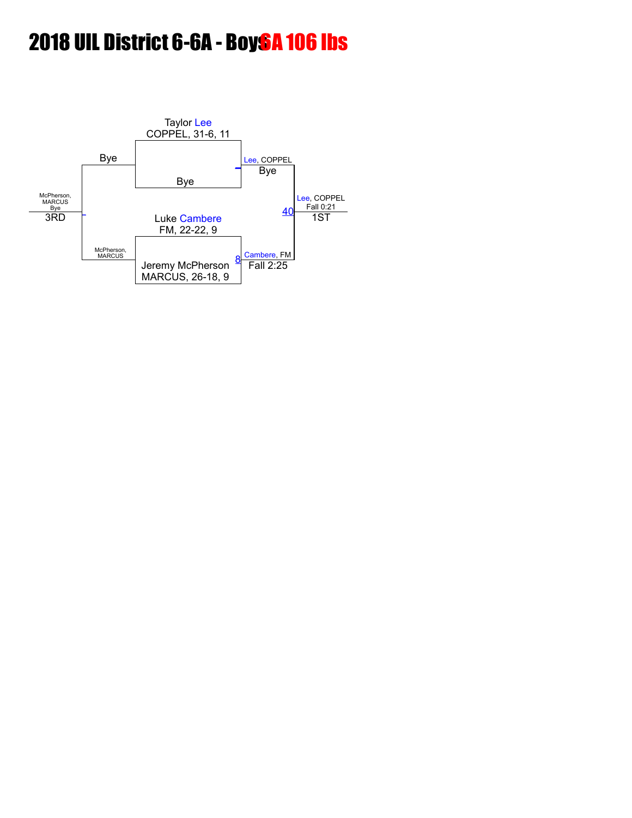# 2018 UIL District 6-6A - Boy<sub>s</sub>A 106 lbs

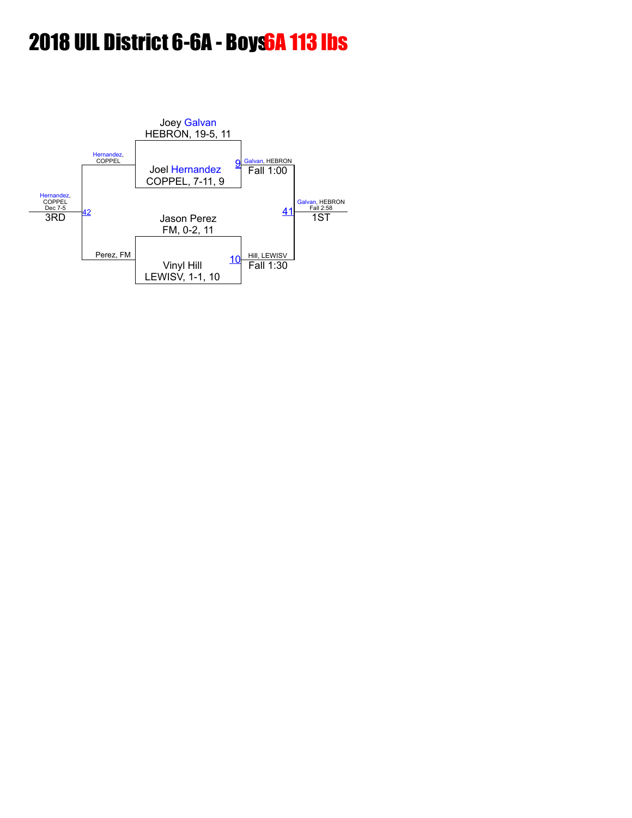# 2018 UIL District 6-6A - Boys6A 113 lbs

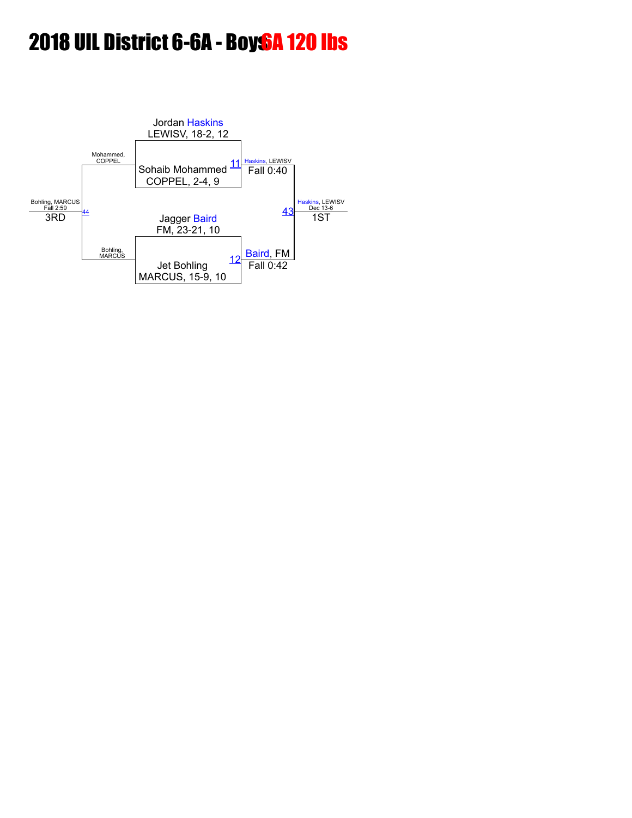# 2018 UIL District 6-6A - Boys<sup>6</sup>A 120 lbs

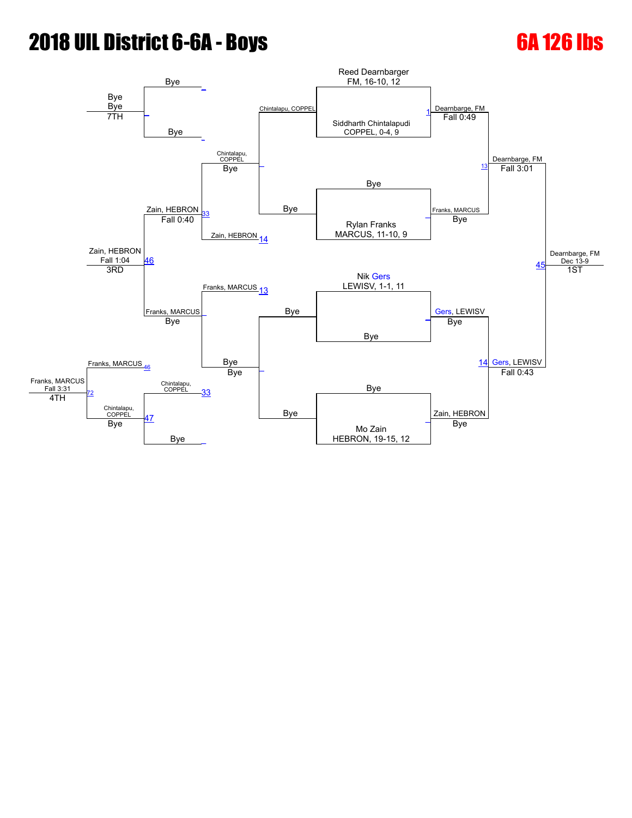# **2018 UIL District 6-6A - Boys 6A 126 lbs**

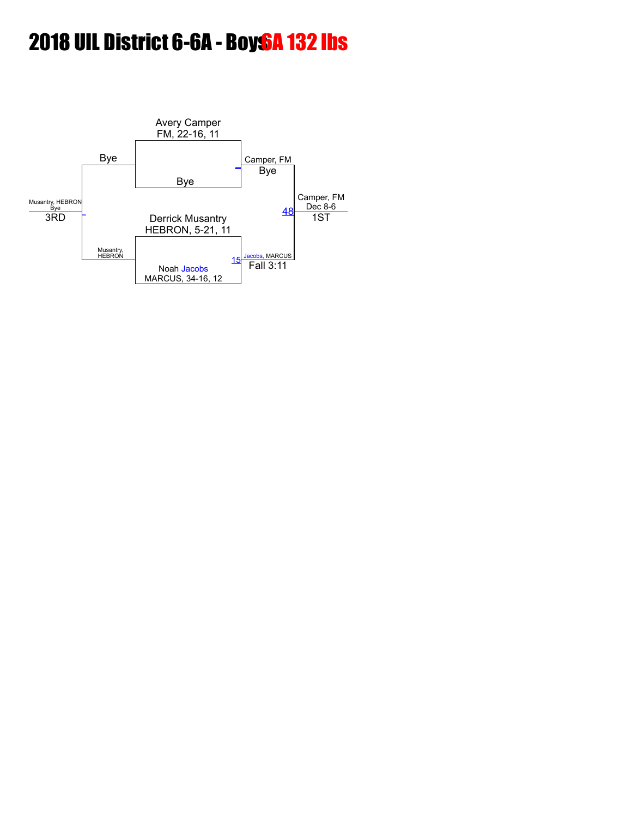# 2018 UIL District 6-6A - Boys<sup>6</sup>A 132 lbs

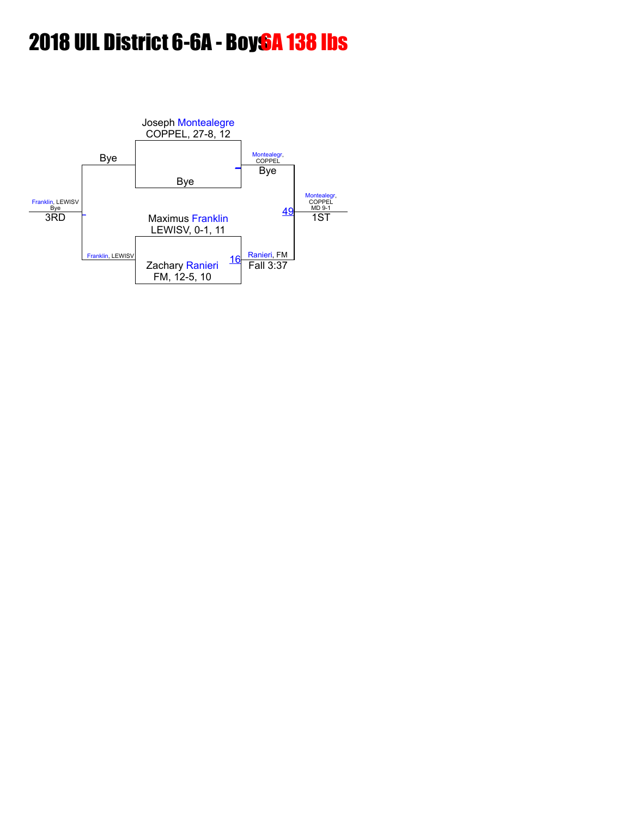# 2018 UIL District 6-6A - Boy<sub>s</sub>A 138 lbs

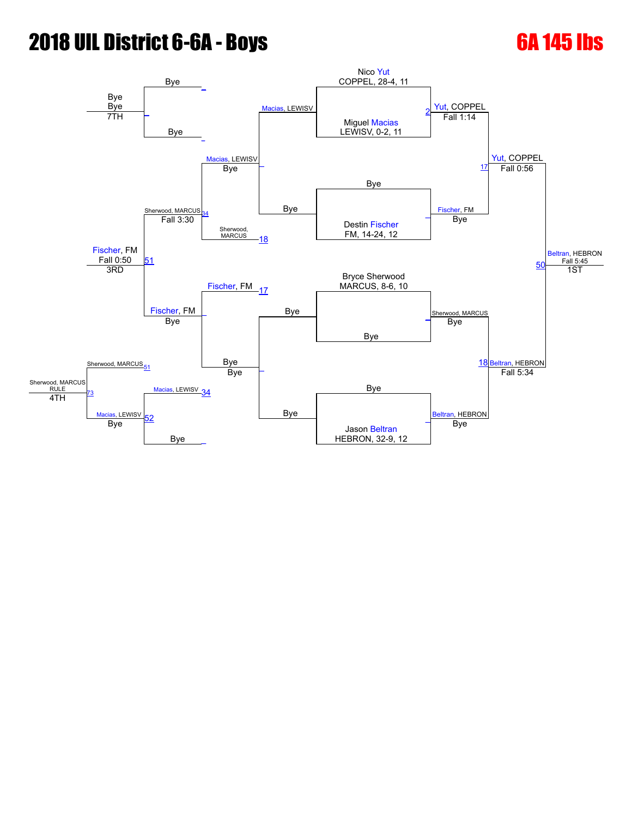# **2018 UIL District 6-6A - Boys 6A 145 lbs**

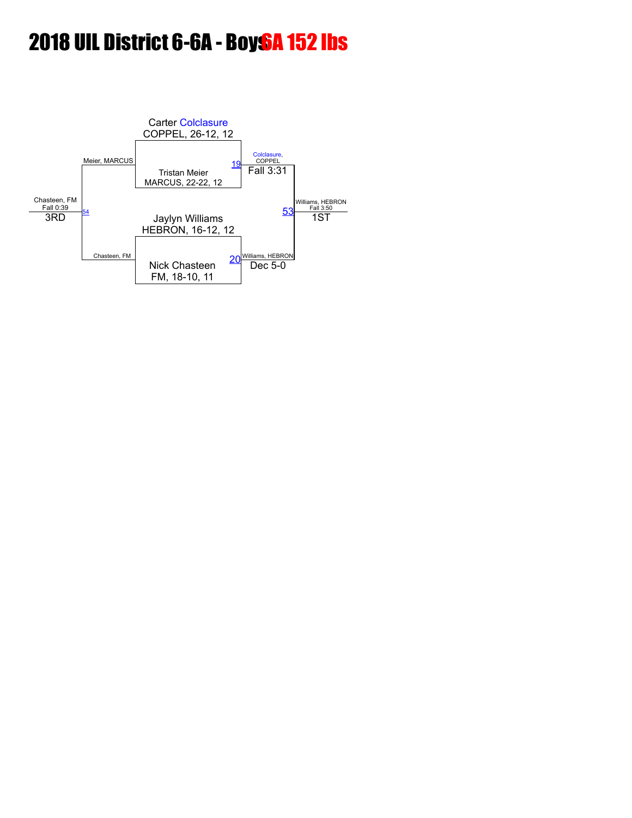# 2018 UIL District 6-6A - Boys<sup>6</sup>A 152 lbs

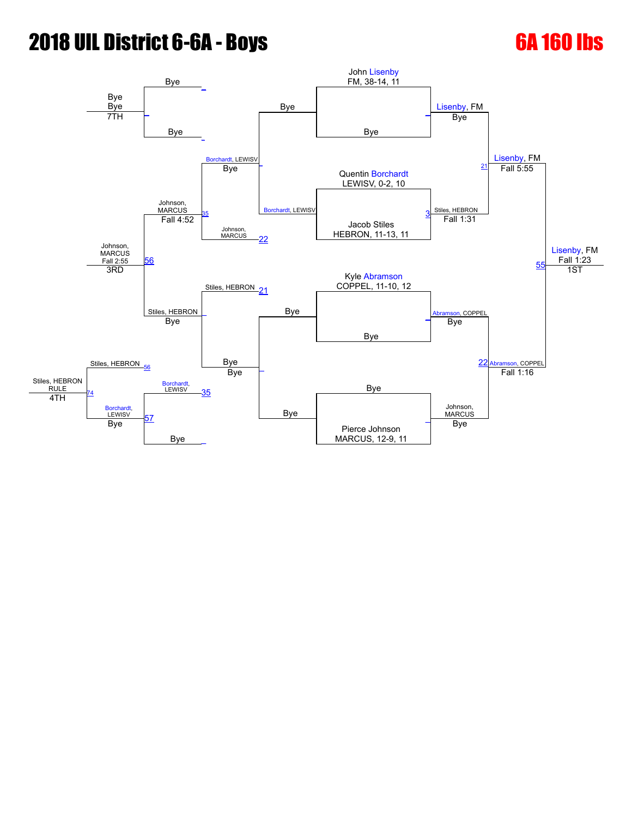# **2018 UIL District 6-6A - Boys 6A 160 lbs**

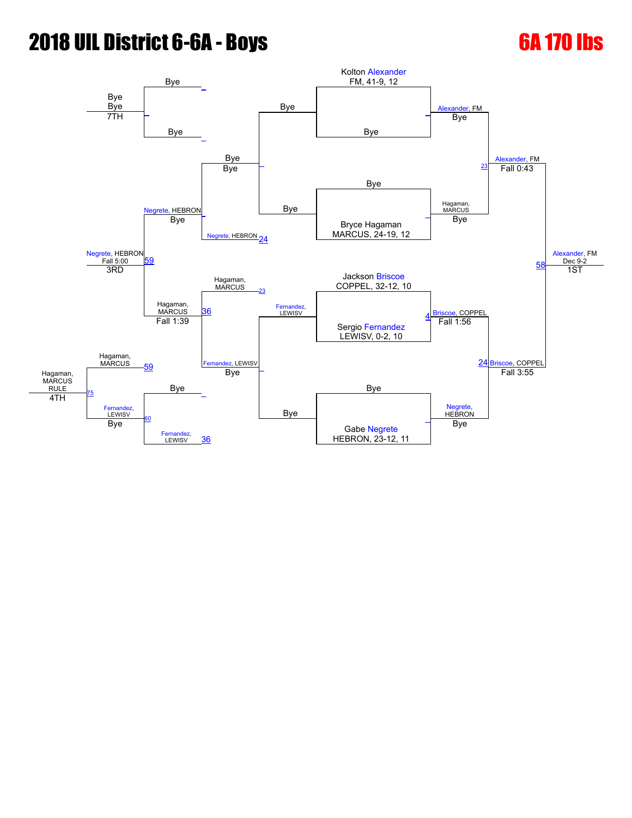# **2018 UIL District 6-6A - Boys 6A 170 lbs**

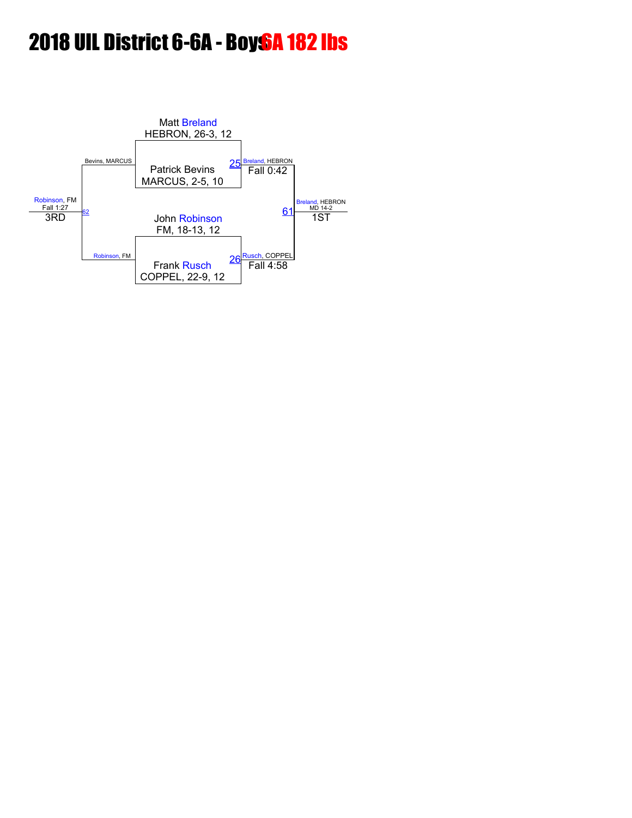# 2018 UIL District 6-6A - Boys<sup>6</sup>A 182 lbs

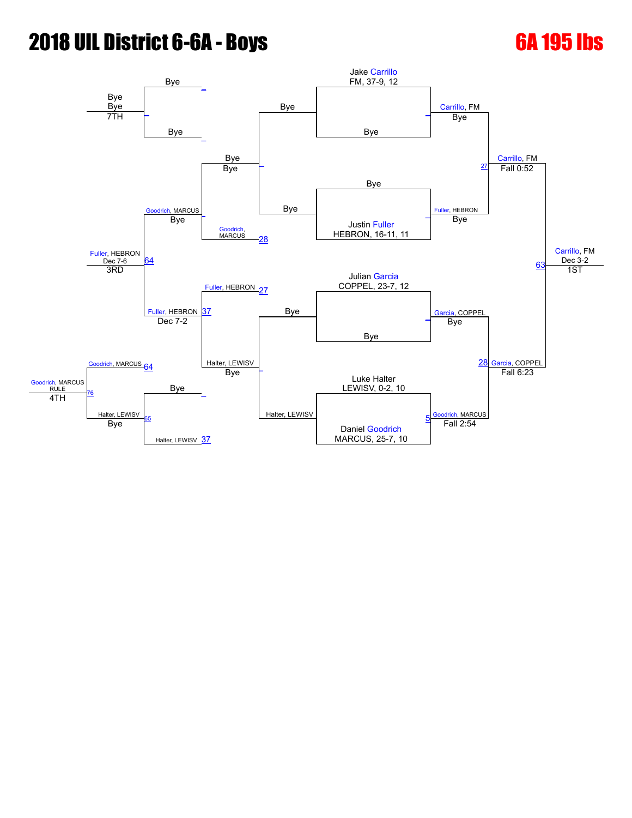# **2018 UIL District 6-6A - Boys 6A 195 lbs**

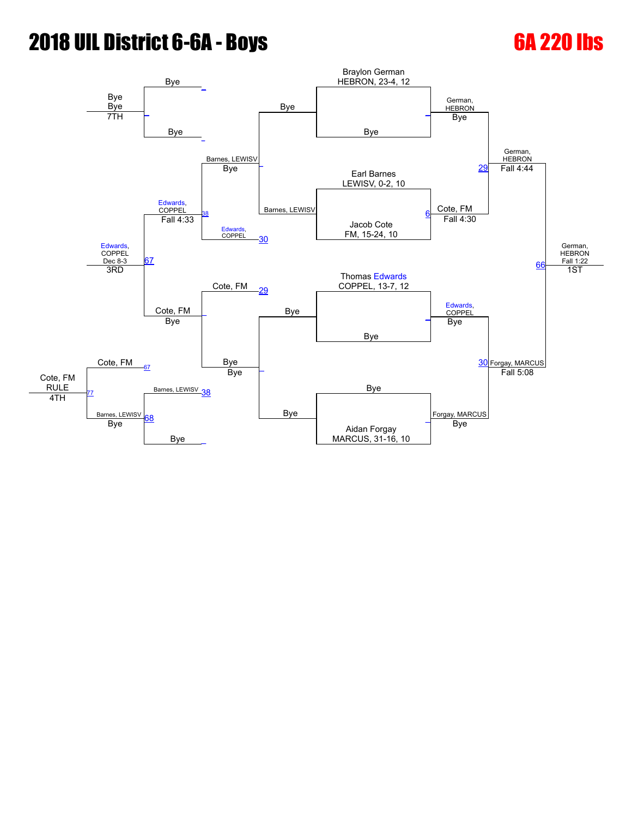# **2018 UIL District 6-6A - Boys 6A 220 lbs**